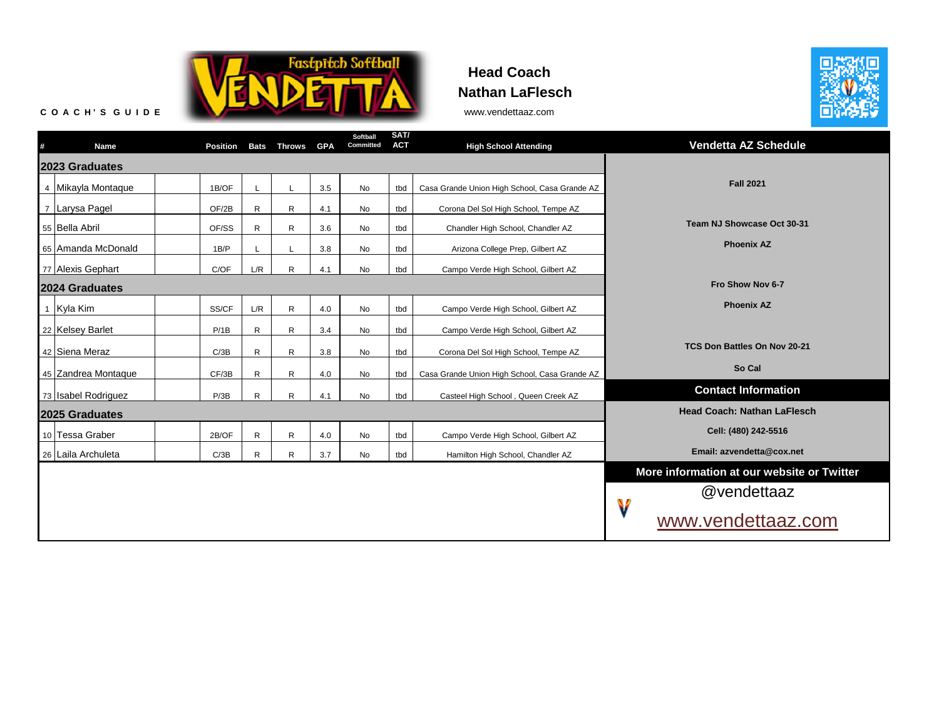

## **Head Coach Nathan LaFlesch**



| # | Name                | Position | <b>Bats</b>                        | <b>Throws</b> | <b>GPA</b> | Softball<br>Committed                      | SAT/<br><b>ACT</b> | <b>High School Attending</b>                  | <b>Vendetta AZ Schedule</b>  |
|---|---------------------|----------|------------------------------------|---------------|------------|--------------------------------------------|--------------------|-----------------------------------------------|------------------------------|
|   | 2023 Graduates      |          |                                    |               |            |                                            |                    |                                               |                              |
|   | 4 Mikayla Montaque  | 1B/OF    |                                    |               | 3.5        | No                                         | tbd                | Casa Grande Union High School, Casa Grande AZ | <b>Fall 2021</b>             |
|   | 7 Larysa Pagel      | OF/2B    | R                                  | R             | 4.1        | No                                         | tbd                | Corona Del Sol High School, Tempe AZ          |                              |
|   | 55 Bella Abril      | OF/SS    | R                                  | R             | 3.6        | No                                         | tbd                | Chandler High School, Chandler AZ             | Team NJ Showcase Oct 30-31   |
|   | 65 Amanda McDonald  | 1B/P     |                                    |               | 3.8        | No                                         | tbd                | Arizona College Prep, Gilbert AZ              | <b>Phoenix AZ</b>            |
|   | 77 Alexis Gephart   | C/OF     | L/R                                | $\mathsf{R}$  | 4.1        | <b>No</b>                                  | tbd                | Campo Verde High School, Gilbert AZ           |                              |
|   | 2024 Graduates      |          |                                    |               |            |                                            |                    |                                               | Fro Show Nov 6-7             |
|   | 1 Kyla Kim          | SS/CF    | L/R                                | $\mathsf{R}$  | 4.0        | <b>No</b>                                  | tbd                | Campo Verde High School, Gilbert AZ           | <b>Phoenix AZ</b>            |
|   | 22 Kelsey Barlet    | P/1B     | R                                  | R             | 3.4        | No                                         | tbd                | Campo Verde High School, Gilbert AZ           |                              |
|   | 42 Siena Meraz      | C/3B     | R                                  | R             | 3.8        | No                                         | tbd                | Corona Del Sol High School, Tempe AZ          | TCS Don Battles On Nov 20-21 |
|   | 45 Zandrea Montaque | CF/3B    | R                                  | R             | 4.0        | No                                         | tbd                | Casa Grande Union High School, Casa Grande AZ | So Cal                       |
|   | 73 Isabel Rodriguez | P/3B     | R                                  | $\mathsf{R}$  | 4.1        | <b>No</b>                                  | tbd                | Casteel High School, Queen Creek AZ           | <b>Contact Information</b>   |
|   | 2025 Graduates      |          | <b>Head Coach: Nathan LaFlesch</b> |               |            |                                            |                    |                                               |                              |
|   | 10 Tessa Graber     | 2B/OF    | $\mathsf R$                        | $\mathsf{R}$  | 4.0        | No                                         | tbd                | Campo Verde High School, Gilbert AZ           | Cell: (480) 242-5516         |
|   | 26 Laila Archuleta  | C/3B     | R                                  | R             | 3.7        | No                                         | tbd                | Hamilton High School, Chandler AZ             | Email: azvendetta@cox.net    |
|   |                     |          |                                    |               |            | More information at our website or Twitter |                    |                                               |                              |
|   |                     |          |                                    |               |            |                                            |                    |                                               | @vendettaaz                  |
|   |                     |          |                                    |               |            |                                            |                    |                                               | V<br>www.vendettaaz.com      |